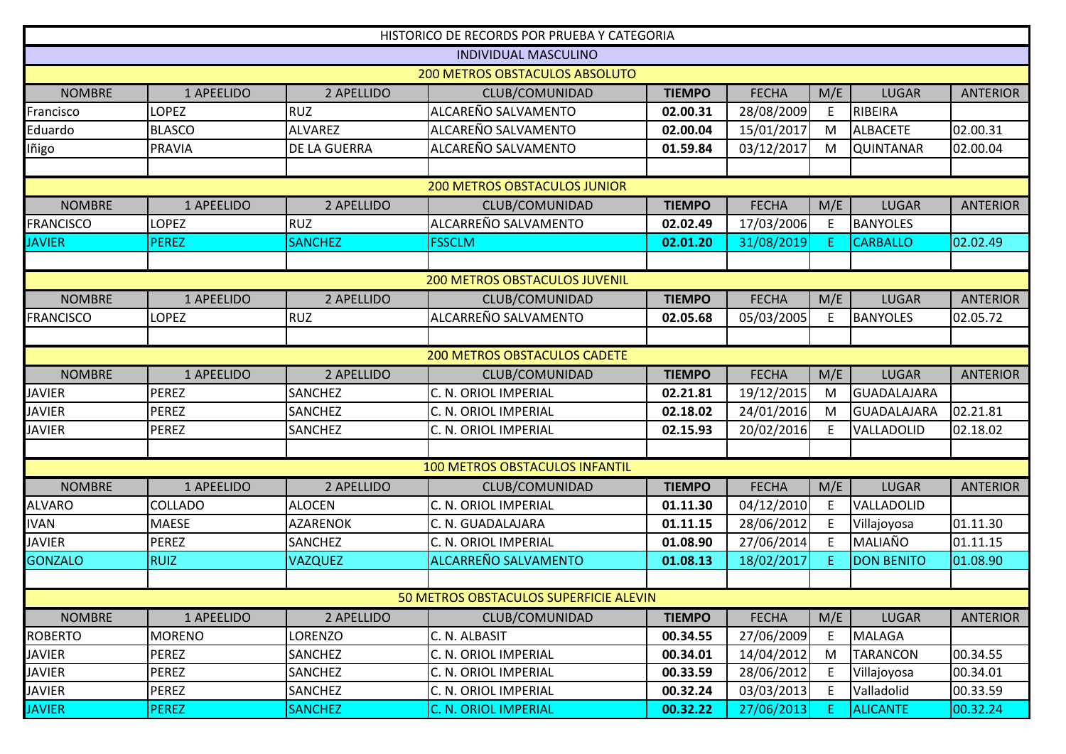|                                       |                |                 | HISTORICO DE RECORDS POR PRUEBA Y CATEGORIA |               |              |     |                   |                 |  |
|---------------------------------------|----------------|-----------------|---------------------------------------------|---------------|--------------|-----|-------------------|-----------------|--|
|                                       |                |                 | <b>INDIVIDUAL MASCULINO</b>                 |               |              |     |                   |                 |  |
| <b>200 METROS OBSTACULOS ABSOLUTO</b> |                |                 |                                             |               |              |     |                   |                 |  |
| <b>NOMBRE</b>                         | 1 APEELIDO     | 2 APELLIDO      | CLUB/COMUNIDAD                              | <b>TIEMPO</b> | <b>FECHA</b> | M/E | <b>LUGAR</b>      | <b>ANTERIOR</b> |  |
| Francisco                             | LOPEZ          | <b>RUZ</b>      | ALCAREÑO SALVAMENTO                         | 02.00.31      | 28/08/2009   | E.  | RIBEIRA           |                 |  |
| Eduardo                               | <b>BLASCO</b>  | <b>ALVAREZ</b>  | ALCAREÑO SALVAMENTO                         | 02.00.04      | 15/01/2017   | M   | <b>ALBACETE</b>   | 02.00.31        |  |
| Iñigo                                 | <b>PRAVIA</b>  | DE LA GUERRA    | ALCAREÑO SALVAMENTO                         | 01.59.84      | 03/12/2017   | M   | <b>QUINTANAR</b>  | 02.00.04        |  |
|                                       |                |                 |                                             |               |              |     |                   |                 |  |
|                                       |                |                 | <b>200 METROS OBSTACULOS JUNIOR</b>         |               |              |     |                   |                 |  |
| <b>NOMBRE</b>                         | 1 APEELIDO     | 2 APELLIDO      | CLUB/COMUNIDAD                              | <b>TIEMPO</b> | <b>FECHA</b> | M/E | <b>LUGAR</b>      | <b>ANTERIOR</b> |  |
| <b>FRANCISCO</b>                      | LOPEZ          | <b>RUZ</b>      | ALCARREÑO SALVAMENTO                        | 02.02.49      | 17/03/2006   | E   | <b>BANYOLES</b>   |                 |  |
| <b>JAVIER</b>                         | <b>PEREZ</b>   | <b>SANCHEZ</b>  | <b>FSSCLM</b>                               | 02.01.20      | 31/08/2019   | E.  | <b>CARBALLO</b>   | 02.02.49        |  |
|                                       |                |                 |                                             |               |              |     |                   |                 |  |
|                                       |                |                 | <b>200 METROS OBSTACULOS JUVENIL</b>        |               |              |     |                   |                 |  |
| <b>NOMBRE</b>                         | 1 APEELIDO     | 2 APELLIDO      | CLUB/COMUNIDAD                              | <b>TIEMPO</b> | <b>FECHA</b> | M/E | <b>LUGAR</b>      | <b>ANTERIOR</b> |  |
| <b>FRANCISCO</b>                      | LOPEZ          | <b>RUZ</b>      | ALCARREÑO SALVAMENTO                        | 02.05.68      | 05/03/2005   | E   | <b>BANYOLES</b>   | 02.05.72        |  |
|                                       |                |                 |                                             |               |              |     |                   |                 |  |
| <b>200 METROS OBSTACULOS CADETE</b>   |                |                 |                                             |               |              |     |                   |                 |  |
| <b>NOMBRE</b>                         | 1 APEELIDO     | 2 APELLIDO      | CLUB/COMUNIDAD                              | <b>TIEMPO</b> | <b>FECHA</b> | M/E | <b>LUGAR</b>      | <b>ANTERIOR</b> |  |
| <b>JAVIER</b>                         | <b>PEREZ</b>   | <b>SANCHEZ</b>  | C. N. ORIOL IMPERIAL                        | 02.21.81      | 19/12/2015   | M   | GUADALAJARA       |                 |  |
| <b>JAVIER</b>                         | <b>PEREZ</b>   | <b>SANCHEZ</b>  | C. N. ORIOL IMPERIAL                        | 02.18.02      | 24/01/2016   | M   | GUADALAJARA       | 02.21.81        |  |
| <b>JAVIER</b>                         | <b>PEREZ</b>   | <b>SANCHEZ</b>  | C. N. ORIOL IMPERIAL                        | 02.15.93      | 20/02/2016   | E   | VALLADOLID        | 02.18.02        |  |
|                                       |                |                 |                                             |               |              |     |                   |                 |  |
|                                       |                |                 | <b>100 METROS OBSTACULOS INFANTIL</b>       |               |              |     |                   |                 |  |
| <b>NOMBRE</b>                         | 1 APEELIDO     | 2 APELLIDO      | CLUB/COMUNIDAD                              | <b>TIEMPO</b> | <b>FECHA</b> | M/E | <b>LUGAR</b>      | <b>ANTERIOR</b> |  |
| <b>ALVARO</b>                         | <b>COLLADO</b> | <b>ALOCEN</b>   | C. N. ORIOL IMPERIAL                        | 01.11.30      | 04/12/2010   | E   | VALLADOLID        |                 |  |
| <b>IVAN</b>                           | <b>MAESE</b>   | <b>AZARENOK</b> | C. N. GUADALAJARA                           | 01.11.15      | 28/06/2012   | E   | Villajoyosa       | 01.11.30        |  |
| <b>JAVIER</b>                         | PEREZ          | <b>SANCHEZ</b>  | C. N. ORIOL IMPERIAL                        | 01.08.90      | 27/06/2014   | E   | MALIAÑO           | 01.11.15        |  |
| <b>GONZALO</b>                        | <b>RUIZ</b>    | <b>VAZQUEZ</b>  | ALCARREÑO SALVAMENTO                        | 01.08.13      | 18/02/2017   | Ε.  | <b>DON BENITO</b> | 01.08.90        |  |
|                                       |                |                 |                                             |               |              |     |                   |                 |  |
|                                       |                |                 | 50 METROS OBSTACULOS SUPERFICIE ALEVIN      |               |              |     |                   |                 |  |
| <b>NOMBRE</b>                         | 1 APEELIDO     | 2 APELLIDO      | CLUB/COMUNIDAD                              | <b>TIEMPO</b> | <b>FECHA</b> | M/E | <b>LUGAR</b>      | <b>ANTERIOR</b> |  |
| <b>ROBERTO</b>                        | <b>MORENO</b>  | LORENZO         | C. N. ALBASIT                               | 00.34.55      | 27/06/2009   | E.  | <b>MALAGA</b>     |                 |  |
| <b>JAVIER</b>                         | PEREZ          | SANCHEZ         | C. N. ORIOL IMPERIAL                        | 00.34.01      | 14/04/2012   | M   | <b>TARANCON</b>   | 00.34.55        |  |
| <b>JAVIER</b>                         | <b>PEREZ</b>   | SANCHEZ         | C. N. ORIOL IMPERIAL                        | 00.33.59      | 28/06/2012   | E   | Villajoyosa       | 00.34.01        |  |
| <b>JAVIER</b>                         | PEREZ          | SANCHEZ         | C. N. ORIOL IMPERIAL                        | 00.32.24      | 03/03/2013   | E   | Valladolid        | 00.33.59        |  |
| <b>JAVIER</b>                         | <b>PEREZ</b>   | <b>SANCHEZ</b>  | <b>C. N. ORIOL IMPERIAL</b>                 | 00.32.22      | 27/06/2013   | F.  | <b>ALICANTE</b>   | 00.32.24        |  |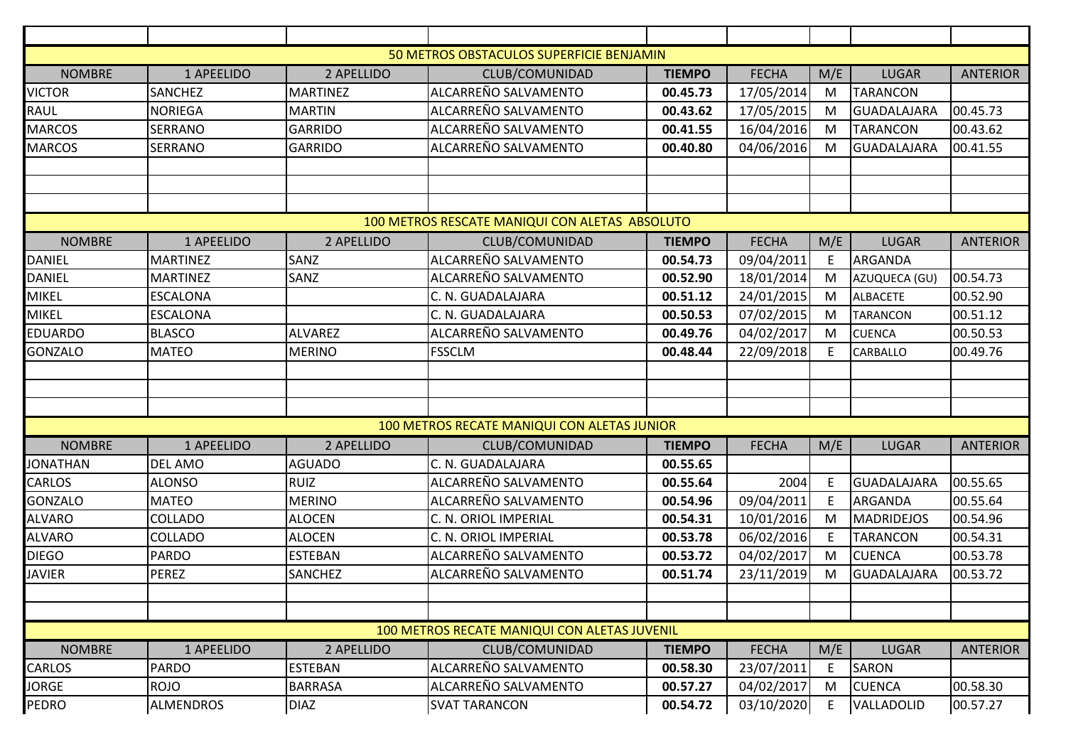|                 |                  |                 | 50 METROS OBSTACULOS SUPERFICIE BENJAMIN       |               |              |     |                    |                 |
|-----------------|------------------|-----------------|------------------------------------------------|---------------|--------------|-----|--------------------|-----------------|
| <b>NOMBRE</b>   | 1 APEELIDO       | 2 APELLIDO      | CLUB/COMUNIDAD                                 | <b>TIEMPO</b> | <b>FECHA</b> | M/E | <b>LUGAR</b>       | <b>ANTERIOR</b> |
| <b>VICTOR</b>   | <b>SANCHEZ</b>   | <b>MARTINEZ</b> | ALCARREÑO SALVAMENTO                           | 00.45.73      | 17/05/2014   | M   | <b>TARANCON</b>    |                 |
| RAUL            | <b>NORIEGA</b>   | <b>MARTIN</b>   | ALCARREÑO SALVAMENTO                           | 00.43.62      | 17/05/2015   | M   | <b>GUADALAJARA</b> | 00.45.73        |
| <b>MARCOS</b>   | <b>SERRANO</b>   | <b>GARRIDO</b>  | ALCARREÑO SALVAMENTO                           | 00.41.55      | 16/04/2016   | M   | <b>TARANCON</b>    | 00.43.62        |
| <b>MARCOS</b>   | <b>SERRANO</b>   | <b>GARRIDO</b>  | ALCARREÑO SALVAMENTO                           | 00.40.80      | 04/06/2016   | M   | <b>GUADALAJARA</b> | 00.41.55        |
|                 |                  |                 |                                                |               |              |     |                    |                 |
|                 |                  |                 |                                                |               |              |     |                    |                 |
|                 |                  |                 |                                                |               |              |     |                    |                 |
|                 |                  |                 | 100 METROS RESCATE MANIQUI CON ALETAS ABSOLUTO |               |              |     |                    |                 |
| <b>NOMBRE</b>   | 1 APEELIDO       | 2 APELLIDO      | CLUB/COMUNIDAD                                 | <b>TIEMPO</b> | <b>FECHA</b> | M/E | <b>LUGAR</b>       | <b>ANTERIOR</b> |
| <b>DANIEL</b>   | <b>MARTINEZ</b>  | SANZ            | ALCARREÑO SALVAMENTO                           | 00.54.73      | 09/04/2011   | E   | <b>ARGANDA</b>     |                 |
| <b>DANIEL</b>   | <b>MARTINEZ</b>  | <b>SANZ</b>     | ALCARREÑO SALVAMENTO                           | 00.52.90      | 18/01/2014   | M   | AZUQUECA (GU)      | 00.54.73        |
| <b>MIKEL</b>    | <b>ESCALONA</b>  |                 | C. N. GUADALAJARA                              | 00.51.12      | 24/01/2015   | M   | <b>ALBACETE</b>    | 00.52.90        |
| <b>MIKEL</b>    | <b>ESCALONA</b>  |                 | C. N. GUADALAJARA                              | 00.50.53      | 07/02/2015   | M   | <b>TARANCON</b>    | 00.51.12        |
| <b>EDUARDO</b>  | <b>BLASCO</b>    | <b>ALVAREZ</b>  | ALCARREÑO SALVAMENTO                           | 00.49.76      | 04/02/2017   | M   | <b>CUENCA</b>      | 00.50.53        |
| <b>GONZALO</b>  | <b>MATEO</b>     | <b>MERINO</b>   | <b>FSSCLM</b>                                  | 00.48.44      | 22/09/2018   | E   | <b>CARBALLO</b>    | 00.49.76        |
|                 |                  |                 |                                                |               |              |     |                    |                 |
|                 |                  |                 |                                                |               |              |     |                    |                 |
|                 |                  |                 |                                                |               |              |     |                    |                 |
|                 |                  |                 | 100 METROS RECATE MANIQUI CON ALETAS JUNIOR    |               |              |     |                    |                 |
| <b>NOMBRE</b>   | 1 APEELIDO       | 2 APELLIDO      | CLUB/COMUNIDAD                                 | <b>TIEMPO</b> | <b>FECHA</b> | M/E | <b>LUGAR</b>       | <b>ANTERIOR</b> |
| <b>JONATHAN</b> | <b>DEL AMO</b>   | <b>AGUADO</b>   | C. N. GUADALAJARA                              | 00.55.65      |              |     |                    |                 |
| CARLOS          | <b>ALONSO</b>    | <b>RUIZ</b>     | ALCARREÑO SALVAMENTO                           | 00.55.64      | 2004         | E   | <b>GUADALAJARA</b> | 00.55.65        |
| <b>GONZALO</b>  | <b>MATEO</b>     | <b>MERINO</b>   | ALCARREÑO SALVAMENTO                           | 00.54.96      | 09/04/2011   | E   | ARGANDA            | 00.55.64        |
| <b>ALVARO</b>   | <b>COLLADO</b>   | <b>ALOCEN</b>   | C. N. ORIOL IMPERIAL                           | 00.54.31      | 10/01/2016   | M   | <b>MADRIDEJOS</b>  | 00.54.96        |
| <b>ALVARO</b>   | <b>COLLADO</b>   | <b>ALOCEN</b>   | C. N. ORIOL IMPERIAL                           | 00.53.78      | 06/02/2016   | E   | <b>TARANCON</b>    | 00.54.31        |
| <b>DIEGO</b>    | <b>PARDO</b>     | <b>ESTEBAN</b>  | ALCARREÑO SALVAMENTO                           | 00.53.72      | 04/02/2017   | M   | <b>CUENCA</b>      | 00.53.78        |
| <b>JAVIER</b>   | <b>PEREZ</b>     | <b>SANCHEZ</b>  | ALCARREÑO SALVAMENTO                           | 00.51.74      | 23/11/2019   | M   | <b>GUADALAJARA</b> | 00.53.72        |
|                 |                  |                 |                                                |               |              |     |                    |                 |
|                 |                  |                 |                                                |               |              |     |                    |                 |
|                 |                  |                 | 100 METROS RECATE MANIQUI CON ALETAS JUVENIL   |               |              |     |                    |                 |
| <b>NOMBRE</b>   | 1 APEELIDO       | 2 APELLIDO      | CLUB/COMUNIDAD                                 | <b>TIEMPO</b> | <b>FECHA</b> | M/E | <b>LUGAR</b>       | <b>ANTERIOR</b> |
| CARLOS          | <b>PARDO</b>     | <b>ESTEBAN</b>  | ALCARREÑO SALVAMENTO                           | 00.58.30      | 23/07/2011   | E   | SARON              |                 |
| JORGE           | <b>ROJO</b>      | <b>BARRASA</b>  | ALCARREÑO SALVAMENTO                           | 00.57.27      | 04/02/2017   | M   | <b>CUENCA</b>      | 00.58.30        |
| <b>PEDRO</b>    | <b>ALMENDROS</b> | <b>DIAZ</b>     | <b>SVAT TARANCON</b>                           | 00.54.72      | 03/10/2020   | E   | VALLADOLID         | 00.57.27        |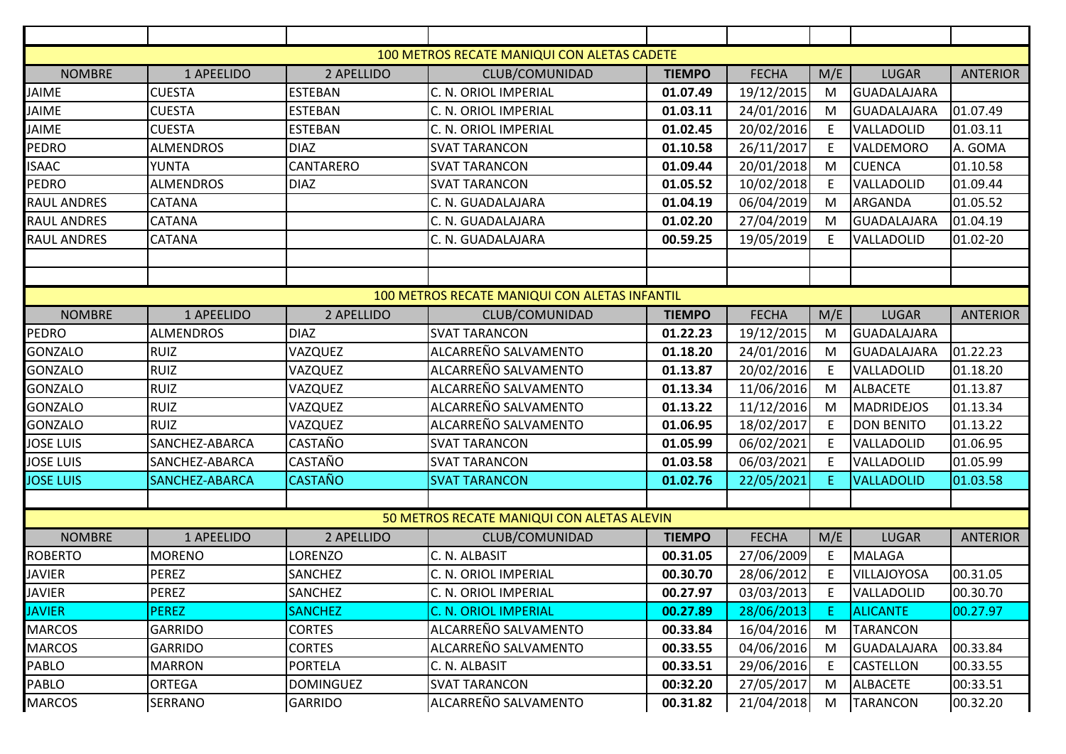|                                               |                  |                  | 100 METROS RECATE MANIQUI CON ALETAS CADETE |               |              |     |                    |                 |  |
|-----------------------------------------------|------------------|------------------|---------------------------------------------|---------------|--------------|-----|--------------------|-----------------|--|
| <b>NOMBRE</b>                                 | 1 APEELIDO       | 2 APELLIDO       | CLUB/COMUNIDAD                              | <b>TIEMPO</b> | <b>FECHA</b> | M/E | <b>LUGAR</b>       | <b>ANTERIOR</b> |  |
| <b>JAIME</b>                                  | <b>CUESTA</b>    | <b>ESTEBAN</b>   | C. N. ORIOL IMPERIAL                        | 01.07.49      | 19/12/2015   | M   | <b>GUADALAJARA</b> |                 |  |
| JAIME                                         | <b>CUESTA</b>    | <b>ESTEBAN</b>   | C. N. ORIOL IMPERIAL                        | 01.03.11      | 24/01/2016   | M   | GUADALAJARA        | 01.07.49        |  |
| <b>JAIME</b>                                  | <b>CUESTA</b>    | <b>ESTEBAN</b>   | C. N. ORIOL IMPERIAL                        | 01.02.45      | 20/02/2016   | E   | VALLADOLID         | 01.03.11        |  |
| <b>PEDRO</b>                                  | <b>ALMENDROS</b> | <b>DIAZ</b>      | <b>SVAT TARANCON</b>                        | 01.10.58      | 26/11/2017   | E   | VALDEMORO          | A. GOMA         |  |
| <b>ISAAC</b>                                  | <b>YUNTA</b>     | CANTARERO        | <b>SVAT TARANCON</b>                        | 01.09.44      | 20/01/2018   | M   | <b>CUENCA</b>      | 01.10.58        |  |
| PEDRO                                         | <b>ALMENDROS</b> | <b>DIAZ</b>      | <b>SVAT TARANCON</b>                        | 01.05.52      | 10/02/2018   | E   | VALLADOLID         | 01.09.44        |  |
| <b>RAUL ANDRES</b>                            | <b>CATANA</b>    |                  | C. N. GUADALAJARA                           | 01.04.19      | 06/04/2019   | M   | <b>ARGANDA</b>     | 01.05.52        |  |
| <b>RAUL ANDRES</b>                            | <b>CATANA</b>    |                  | C. N. GUADALAJARA                           | 01.02.20      | 27/04/2019   | M   | <b>GUADALAJARA</b> | 01.04.19        |  |
| <b>RAUL ANDRES</b>                            | <b>CATANA</b>    |                  | C. N. GUADALAJARA                           | 00.59.25      | 19/05/2019   | E.  | VALLADOLID         | 01.02-20        |  |
|                                               |                  |                  |                                             |               |              |     |                    |                 |  |
|                                               |                  |                  |                                             |               |              |     |                    |                 |  |
| 100 METROS RECATE MANIQUI CON ALETAS INFANTIL |                  |                  |                                             |               |              |     |                    |                 |  |
| <b>NOMBRE</b>                                 | 1 APEELIDO       | 2 APELLIDO       | CLUB/COMUNIDAD                              | <b>TIEMPO</b> | <b>FECHA</b> | M/E | <b>LUGAR</b>       | <b>ANTERIOR</b> |  |
| <b>PEDRO</b>                                  | <b>ALMENDROS</b> | <b>DIAZ</b>      | <b>SVAT TARANCON</b>                        | 01.22.23      | 19/12/2015   | M   | GUADALAJARA        |                 |  |
| <b>GONZALO</b>                                | <b>RUIZ</b>      | VAZQUEZ          | ALCARREÑO SALVAMENTO                        | 01.18.20      | 24/01/2016   | м   | GUADALAJARA        | 01.22.23        |  |
| <b>GONZALO</b>                                | <b>RUIZ</b>      | VAZQUEZ          | ALCARREÑO SALVAMENTO                        | 01.13.87      | 20/02/2016   | E   | VALLADOLID         | 01.18.20        |  |
| <b>GONZALO</b>                                | <b>RUIZ</b>      | VAZQUEZ          | ALCARREÑO SALVAMENTO                        | 01.13.34      | 11/06/2016   | M   | <b>ALBACETE</b>    | 01.13.87        |  |
| <b>GONZALO</b>                                | <b>RUIZ</b>      | VAZQUEZ          | ALCARREÑO SALVAMENTO                        | 01.13.22      | 11/12/2016   | M   | <b>MADRIDEJOS</b>  | 01.13.34        |  |
| <b>GONZALO</b>                                | <b>RUIZ</b>      | VAZQUEZ          | ALCARREÑO SALVAMENTO                        | 01.06.95      | 18/02/2017   | E   | <b>DON BENITO</b>  | 01.13.22        |  |
| <b>JOSE LUIS</b>                              | SANCHEZ-ABARCA   | <b>CASTAÑO</b>   | <b>SVAT TARANCON</b>                        | 01.05.99      | 06/02/2021   | E   | VALLADOLID         | 01.06.95        |  |
| <b>JOSE LUIS</b>                              | SANCHEZ-ABARCA   | <b>CASTAÑO</b>   | <b>SVAT TARANCON</b>                        | 01.03.58      | 06/03/2021   | E   | VALLADOLID         | 01.05.99        |  |
| <b>JOSE LUIS</b>                              | SANCHEZ-ABARCA   | <b>CASTAÑO</b>   | <b>SVAT TARANCON</b>                        | 01.02.76      | 22/05/2021   | E.  | <b>VALLADOLID</b>  | 01.03.58        |  |
|                                               |                  |                  |                                             |               |              |     |                    |                 |  |
|                                               |                  |                  | 50 METROS RECATE MANIQUI CON ALETAS ALEVIN  |               |              |     |                    |                 |  |
| <b>NOMBRE</b>                                 | 1 APEELIDO       | 2 APELLIDO       | CLUB/COMUNIDAD                              | <b>TIEMPO</b> | <b>FECHA</b> | M/E | <b>LUGAR</b>       | <b>ANTERIOR</b> |  |
| <b>ROBERTO</b>                                | <b>MORENO</b>    | <b>LORENZO</b>   | C. N. ALBASIT                               | 00.31.05      | 27/06/2009   | E   | MALAGA             |                 |  |
| <b>JAVIER</b>                                 | <b>PEREZ</b>     | <b>SANCHEZ</b>   | C. N. ORIOL IMPERIAL                        | 00.30.70      | 28/06/2012   | E.  | VILLAJOYOSA        | 00.31.05        |  |
| <b>JAVIER</b>                                 | PEREZ            | <b>SANCHEZ</b>   | C. N. ORIOL IMPERIAL                        | 00.27.97      | 03/03/2013   |     | E VALLADOLID       | 00.30.70        |  |
| <b>JAVIER</b>                                 | <b>PEREZ</b>     | <b>SANCHEZ</b>   | <b>C. N. ORIOL IMPERIAL</b>                 | 00.27.89      | 28/06/2013   | Е.  | <b>ALICANTE</b>    | 00.27.97        |  |
| <b>MARCOS</b>                                 | <b>GARRIDO</b>   | <b>CORTES</b>    | ALCARREÑO SALVAMENTO                        | 00.33.84      | 16/04/2016   | M   | <b>TARANCON</b>    |                 |  |
| <b>MARCOS</b>                                 | <b>GARRIDO</b>   | CORTES           | ALCARREÑO SALVAMENTO                        | 00.33.55      | 04/06/2016   | M   | GUADALAJARA        | 00.33.84        |  |
| PABLO                                         | <b>MARRON</b>    | <b>PORTELA</b>   | C. N. ALBASIT                               | 00.33.51      | 29/06/2016   | E.  | <b>CASTELLON</b>   | 00.33.55        |  |
| PABLO                                         | <b>ORTEGA</b>    | <b>DOMINGUEZ</b> | <b>SVAT TARANCON</b>                        | 00:32.20      | 27/05/2017   | M   | <b>ALBACETE</b>    | 00:33.51        |  |
| <b>MARCOS</b>                                 | SERRANO          | <b>GARRIDO</b>   | ALCARREÑO SALVAMENTO                        | 00.31.82      | 21/04/2018   | M   | <b>TARANCON</b>    | 00.32.20        |  |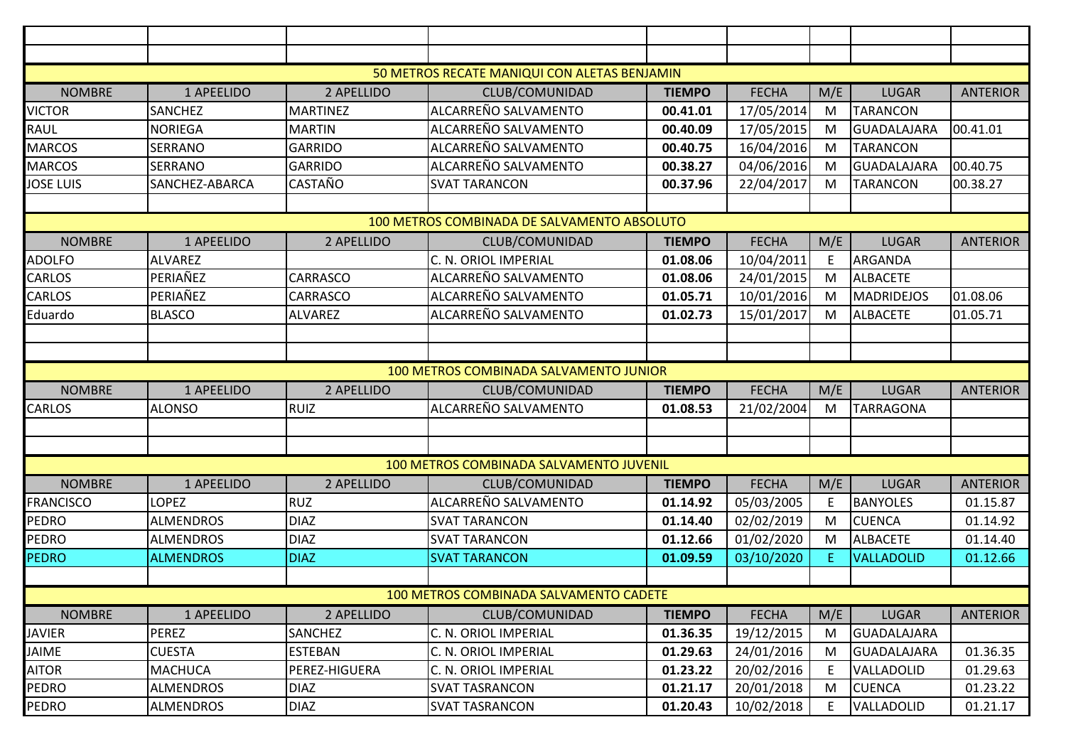|                                        |                  |                 | 50 METROS RECATE MANIQUI CON ALETAS BENJAMIN |               |              |           |                    |                 |  |
|----------------------------------------|------------------|-----------------|----------------------------------------------|---------------|--------------|-----------|--------------------|-----------------|--|
| <b>NOMBRE</b>                          | 1 APEELIDO       | 2 APELLIDO      | CLUB/COMUNIDAD                               | <b>TIEMPO</b> | <b>FECHA</b> | M/E       | <b>LUGAR</b>       | <b>ANTERIOR</b> |  |
| <b>VICTOR</b>                          | <b>SANCHEZ</b>   | <b>MARTINEZ</b> | ALCARREÑO SALVAMENTO                         | 00.41.01      | 17/05/2014   | M         | <b>TARANCON</b>    |                 |  |
| <b>RAUL</b>                            | <b>NORIEGA</b>   | <b>MARTIN</b>   | ALCARREÑO SALVAMENTO                         | 00.40.09      | 17/05/2015   | ${\sf M}$ | <b>GUADALAJARA</b> | 00.41.01        |  |
| <b>MARCOS</b>                          | <b>SERRANO</b>   | <b>GARRIDO</b>  | ALCARREÑO SALVAMENTO                         | 00.40.75      | 16/04/2016   | M         | <b>TARANCON</b>    |                 |  |
| <b>MARCOS</b>                          | <b>SERRANO</b>   | <b>GARRIDO</b>  | ALCARREÑO SALVAMENTO                         | 00.38.27      | 04/06/2016   | M         | <b>GUADALAJARA</b> | 00.40.75        |  |
| <b>JOSE LUIS</b>                       | SANCHEZ-ABARCA   | <b>CASTAÑO</b>  | <b>SVAT TARANCON</b>                         | 00.37.96      | 22/04/2017   | M         | <b>TARANCON</b>    | 00.38.27        |  |
|                                        |                  |                 |                                              |               |              |           |                    |                 |  |
|                                        |                  |                 | 100 METROS COMBINADA DE SALVAMENTO ABSOLUTO  |               |              |           |                    |                 |  |
| <b>NOMBRE</b>                          | 1 APEELIDO       | 2 APELLIDO      | CLUB/COMUNIDAD                               | <b>TIEMPO</b> | <b>FECHA</b> | M/E       | <b>LUGAR</b>       | <b>ANTERIOR</b> |  |
| <b>ADOLFO</b>                          | <b>ALVAREZ</b>   |                 | C. N. ORIOL IMPERIAL                         | 01.08.06      | 10/04/2011   | E         | <b>ARGANDA</b>     |                 |  |
| CARLOS                                 | PERIAÑEZ         | <b>CARRASCO</b> | ALCARREÑO SALVAMENTO                         | 01.08.06      | 24/01/2015   | M         | <b>ALBACETE</b>    |                 |  |
| CARLOS                                 | PERIAÑEZ         | CARRASCO        | ALCARREÑO SALVAMENTO                         | 01.05.71      | 10/01/2016   | M         | <b>MADRIDEJOS</b>  | 01.08.06        |  |
| Eduardo                                | <b>BLASCO</b>    | <b>ALVAREZ</b>  | ALCARREÑO SALVAMENTO                         | 01.02.73      | 15/01/2017   | M         | <b>ALBACETE</b>    | 01.05.71        |  |
|                                        |                  |                 |                                              |               |              |           |                    |                 |  |
|                                        |                  |                 |                                              |               |              |           |                    |                 |  |
| 100 METROS COMBINADA SALVAMENTO JUNIOR |                  |                 |                                              |               |              |           |                    |                 |  |
| <b>NOMBRE</b>                          | 1 APEELIDO       | 2 APELLIDO      | CLUB/COMUNIDAD                               | <b>TIEMPO</b> | <b>FECHA</b> | M/E       | <b>LUGAR</b>       | <b>ANTERIOR</b> |  |
| <b>CARLOS</b>                          | <b>ALONSO</b>    | <b>RUIZ</b>     | ALCARREÑO SALVAMENTO                         | 01.08.53      | 21/02/2004   | M         | <b>TARRAGONA</b>   |                 |  |
|                                        |                  |                 |                                              |               |              |           |                    |                 |  |
|                                        |                  |                 |                                              |               |              |           |                    |                 |  |
|                                        |                  |                 | 100 METROS COMBINADA SALVAMENTO JUVENIL      |               |              |           |                    |                 |  |
| <b>NOMBRE</b>                          | 1 APEELIDO       | 2 APELLIDO      | CLUB/COMUNIDAD                               | <b>TIEMPO</b> | <b>FECHA</b> | M/E       | <b>LUGAR</b>       | <b>ANTERIOR</b> |  |
| <b>FRANCISCO</b>                       | LOPEZ            | <b>RUZ</b>      | ALCARREÑO SALVAMENTO                         | 01.14.92      | 05/03/2005   | Ε         | <b>BANYOLES</b>    | 01.15.87        |  |
| PEDRO                                  | <b>ALMENDROS</b> | <b>DIAZ</b>     | <b>SVAT TARANCON</b>                         | 01.14.40      | 02/02/2019   | M         | <b>CUENCA</b>      | 01.14.92        |  |
| PEDRO                                  | <b>ALMENDROS</b> | <b>DIAZ</b>     | <b>SVAT TARANCON</b>                         | 01.12.66      | 01/02/2020   | M         | <b>ALBACETE</b>    | 01.14.40        |  |
| <b>PEDRO</b>                           | <b>ALMENDROS</b> | <b>DIAZ</b>     | <b>SVAT TARANCON</b>                         | 01.09.59      | 03/10/2020   | E.        | <b>VALLADOLID</b>  | 01.12.66        |  |
|                                        |                  |                 |                                              |               |              |           |                    |                 |  |
|                                        |                  |                 | 100 METROS COMBINADA SALVAMENTO CADETE       |               |              |           |                    |                 |  |
| <b>NOMBRE</b>                          | 1 APEELIDO       | 2 APELLIDO      | CLUB/COMUNIDAD                               | <b>TIEMPO</b> | <b>FECHA</b> | M/E       | <b>LUGAR</b>       | <b>ANTERIOR</b> |  |
| <b>JAVIER</b>                          | PEREZ            | SANCHEZ         | C. N. ORIOL IMPERIAL                         | 01.36.35      | 19/12/2015   | M         | <b>GUADALAJARA</b> |                 |  |
| <b>JAIME</b>                           | <b>CUESTA</b>    | <b>ESTEBAN</b>  | C. N. ORIOL IMPERIAL                         | 01.29.63      | 24/01/2016   | M         | <b>GUADALAJARA</b> | 01.36.35        |  |
| <b>AITOR</b>                           | <b>MACHUCA</b>   | PEREZ-HIGUERA   | C. N. ORIOL IMPERIAL                         | 01.23.22      | 20/02/2016   | E         | VALLADOLID         | 01.29.63        |  |
| PEDRO                                  | <b>ALMENDROS</b> | <b>DIAZ</b>     | <b>SVAT TASRANCON</b>                        | 01.21.17      | 20/01/2018   | M         | <b>CUENCA</b>      | 01.23.22        |  |
| PEDRO                                  | <b>ALMENDROS</b> | <b>DIAZ</b>     | <b>SVAT TASRANCON</b>                        | 01.20.43      | 10/02/2018   | E         | VALLADOLID         | 01.21.17        |  |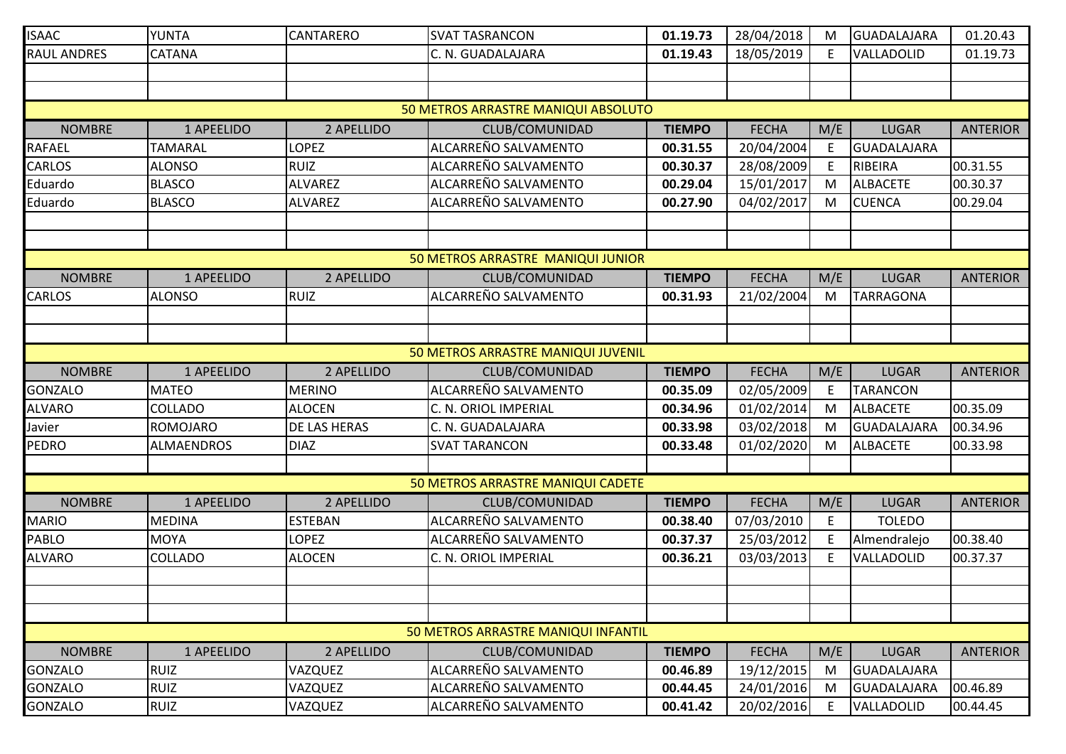| <b>ISAAC</b>                        | <b>YUNTA</b>      | CANTARERO           | <b>SVAT TASRANCON</b>               | 01.19.73      | 28/04/2018   | М         | GUADALAJARA      | 01.20.43        |  |  |
|-------------------------------------|-------------------|---------------------|-------------------------------------|---------------|--------------|-----------|------------------|-----------------|--|--|
| RAUL ANDRES                         | CATANA            |                     | C. N. GUADALAJARA                   | 01.19.43      | 18/05/2019   | E.        | VALLADOLID       | 01.19.73        |  |  |
|                                     |                   |                     |                                     |               |              |           |                  |                 |  |  |
|                                     |                   |                     |                                     |               |              |           |                  |                 |  |  |
| 50 METROS ARRASTRE MANIQUI ABSOLUTO |                   |                     |                                     |               |              |           |                  |                 |  |  |
| <b>NOMBRE</b>                       | 1 APEELIDO        | 2 APELLIDO          | CLUB/COMUNIDAD                      | <b>TIEMPO</b> | <b>FECHA</b> | M/E       | <b>LUGAR</b>     | <b>ANTERIOR</b> |  |  |
| <b>RAFAEL</b>                       | <b>TAMARAL</b>    | LOPEZ               | ALCARREÑO SALVAMENTO                | 00.31.55      | 20/04/2004   | E         | GUADALAJARA      |                 |  |  |
| <b>CARLOS</b>                       | <b>ALONSO</b>     | <b>RUIZ</b>         | ALCARREÑO SALVAMENTO                | 00.30.37      | 28/08/2009   | E         | RIBEIRA          | 00.31.55        |  |  |
| Eduardo                             | <b>BLASCO</b>     | <b>ALVAREZ</b>      | ALCARREÑO SALVAMENTO                | 00.29.04      | 15/01/2017   | M         | <b>ALBACETE</b>  | 00.30.37        |  |  |
| Eduardo                             | <b>BLASCO</b>     | <b>ALVAREZ</b>      | ALCARREÑO SALVAMENTO                | 00.27.90      | 04/02/2017   | M         | <b>CUENCA</b>    | 00.29.04        |  |  |
|                                     |                   |                     |                                     |               |              |           |                  |                 |  |  |
|                                     |                   |                     |                                     |               |              |           |                  |                 |  |  |
|                                     |                   |                     | 50 METROS ARRASTRE MANIQUI JUNIOR   |               |              |           |                  |                 |  |  |
| <b>NOMBRE</b>                       | 1 APEELIDO        | 2 APELLIDO          | CLUB/COMUNIDAD                      | <b>TIEMPO</b> | <b>FECHA</b> | M/E       | <b>LUGAR</b>     | <b>ANTERIOR</b> |  |  |
| <b>CARLOS</b>                       | <b>ALONSO</b>     | <b>RUIZ</b>         | ALCARREÑO SALVAMENTO                | 00.31.93      | 21/02/2004   | ${\sf M}$ | <b>TARRAGONA</b> |                 |  |  |
|                                     |                   |                     |                                     |               |              |           |                  |                 |  |  |
|                                     |                   |                     |                                     |               |              |           |                  |                 |  |  |
|                                     |                   |                     | 50 METROS ARRASTRE MANIQUI JUVENIL  |               |              |           |                  |                 |  |  |
| <b>NOMBRE</b>                       | 1 APEELIDO        | 2 APELLIDO          | CLUB/COMUNIDAD                      | <b>TIEMPO</b> | <b>FECHA</b> | M/E       | <b>LUGAR</b>     | <b>ANTERIOR</b> |  |  |
| <b>GONZALO</b>                      | <b>MATEO</b>      | <b>MERINO</b>       | ALCARREÑO SALVAMENTO                | 00.35.09      | 02/05/2009   | E         | <b>TARANCON</b>  |                 |  |  |
| <b>ALVARO</b>                       | <b>COLLADO</b>    | <b>ALOCEN</b>       | C. N. ORIOL IMPERIAL                | 00.34.96      | 01/02/2014   | M         | <b>ALBACETE</b>  | 00.35.09        |  |  |
| Javier                              | <b>ROMOJARO</b>   | <b>DE LAS HERAS</b> | C. N. GUADALAJARA                   | 00.33.98      | 03/02/2018   | M         | GUADALAJARA      | 00.34.96        |  |  |
| <b>PEDRO</b>                        | <b>ALMAENDROS</b> | <b>DIAZ</b>         | <b>SVAT TARANCON</b>                | 00.33.48      | 01/02/2020   | M         | <b>ALBACETE</b>  | 00.33.98        |  |  |
|                                     |                   |                     |                                     |               |              |           |                  |                 |  |  |
|                                     |                   |                     | 50 METROS ARRASTRE MANIQUI CADETE   |               |              |           |                  |                 |  |  |
| <b>NOMBRE</b>                       | 1 APEELIDO        | 2 APELLIDO          | CLUB/COMUNIDAD                      | <b>TIEMPO</b> | <b>FECHA</b> | M/E       | <b>LUGAR</b>     | <b>ANTERIOR</b> |  |  |
| <b>MARIO</b>                        | <b>MEDINA</b>     | <b>ESTEBAN</b>      | ALCARREÑO SALVAMENTO                | 00.38.40      | 07/03/2010   | E         | <b>TOLEDO</b>    |                 |  |  |
| <b>PABLO</b>                        | <b>MOYA</b>       | <b>LOPEZ</b>        | ALCARREÑO SALVAMENTO                | 00.37.37      | 25/03/2012   | E         | Almendralejo     | 00.38.40        |  |  |
| <b>ALVARO</b>                       | COLLADO           | <b>ALOCEN</b>       | C. N. ORIOL IMPERIAL                | 00.36.21      | 03/03/2013   | E         | VALLADOLID       | 00.37.37        |  |  |
|                                     |                   |                     |                                     |               |              |           |                  |                 |  |  |
|                                     |                   |                     |                                     |               |              |           |                  |                 |  |  |
|                                     |                   |                     |                                     |               |              |           |                  |                 |  |  |
|                                     |                   |                     | 50 METROS ARRASTRE MANIQUI INFANTIL |               |              |           |                  |                 |  |  |
| <b>NOMBRE</b>                       | 1 APEELIDO        | 2 APELLIDO          | CLUB/COMUNIDAD                      | <b>TIEMPO</b> | <b>FECHA</b> | M/E       | <b>LUGAR</b>     | <b>ANTERIOR</b> |  |  |
| <b>GONZALO</b>                      | <b>RUIZ</b>       | VAZQUEZ             | ALCARREÑO SALVAMENTO                | 00.46.89      | 19/12/2015   | M         | GUADALAJARA      |                 |  |  |
| <b>GONZALO</b>                      | <b>RUIZ</b>       | VAZQUEZ             | ALCARREÑO SALVAMENTO                | 00.44.45      | 24/01/2016   | M         | GUADALAJARA      | 00.46.89        |  |  |
| <b>GONZALO</b>                      | <b>RUIZ</b>       | VAZQUEZ             | ALCARREÑO SALVAMENTO                | 00.41.42      | 20/02/2016   | E         | VALLADOLID       | 00.44.45        |  |  |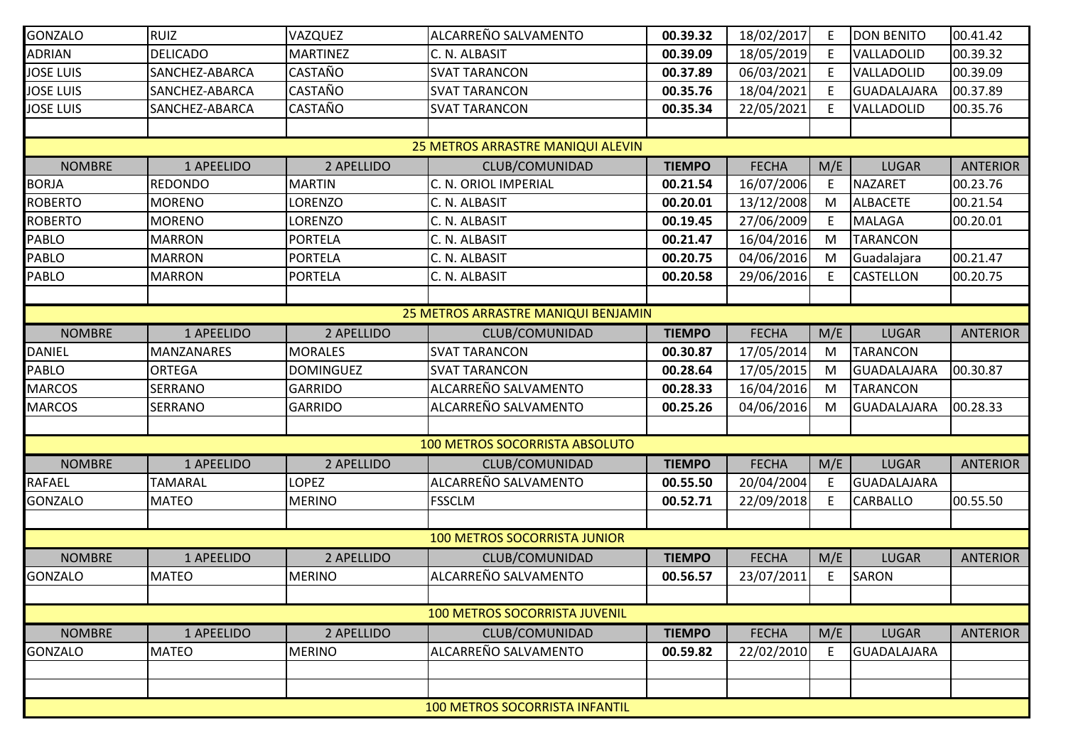| <b>GONZALO</b>                      | <b>RUIZ</b>       | VAZQUEZ          | ALCARREÑO SALVAMENTO                  | 00.39.32      | 18/02/2017   | E   | <b>DON BENITO</b>  | 00.41.42        |  |
|-------------------------------------|-------------------|------------------|---------------------------------------|---------------|--------------|-----|--------------------|-----------------|--|
| ADRIAN                              | <b>DELICADO</b>   | <b>MARTINEZ</b>  | C. N. ALBASIT                         | 00.39.09      | 18/05/2019   | E   | VALLADOLID         | 00.39.32        |  |
| <b>JOSE LUIS</b>                    | SANCHEZ-ABARCA    | <b>CASTAÑO</b>   | <b>SVAT TARANCON</b>                  | 00.37.89      | 06/03/2021   | E   | VALLADOLID         | 00.39.09        |  |
| <b>JOSE LUIS</b>                    | SANCHEZ-ABARCA    | <b>CASTAÑO</b>   | <b>SVAT TARANCON</b>                  | 00.35.76      | 18/04/2021   | E   | GUADALAJARA        | 00.37.89        |  |
| <b>JOSE LUIS</b>                    | SANCHEZ-ABARCA    | CASTAÑO          | <b>SVAT TARANCON</b>                  | 00.35.34      | 22/05/2021   | E   | VALLADOLID         | 00.35.76        |  |
|                                     |                   |                  |                                       |               |              |     |                    |                 |  |
|                                     |                   |                  | 25 METROS ARRASTRE MANIQUI ALEVIN     |               |              |     |                    |                 |  |
| <b>NOMBRE</b>                       | 1 APEELIDO        | 2 APELLIDO       | CLUB/COMUNIDAD                        | <b>TIEMPO</b> | <b>FECHA</b> | M/E | <b>LUGAR</b>       | <b>ANTERIOR</b> |  |
| <b>BORJA</b>                        | <b>REDONDO</b>    | <b>MARTIN</b>    | C. N. ORIOL IMPERIAL                  | 00.21.54      | 16/07/2006   | E   | <b>NAZARET</b>     | 00.23.76        |  |
| <b>ROBERTO</b>                      | <b>MORENO</b>     | <b>LORENZO</b>   | C. N. ALBASIT                         | 00.20.01      | 13/12/2008   | M   | <b>ALBACETE</b>    | 00.21.54        |  |
| <b>ROBERTO</b>                      | <b>MORENO</b>     | LORENZO          | C. N. ALBASIT                         | 00.19.45      | 27/06/2009   | E   | <b>MALAGA</b>      | 00.20.01        |  |
| PABLO                               | <b>MARRON</b>     | <b>PORTELA</b>   | C. N. ALBASIT                         | 00.21.47      | 16/04/2016   | M   | <b>TARANCON</b>    |                 |  |
| PABLO                               | <b>MARRON</b>     | <b>PORTELA</b>   | C. N. ALBASIT                         | 00.20.75      | 04/06/2016   | M   | Guadalajara        | 00.21.47        |  |
| PABLO                               | <b>MARRON</b>     | <b>PORTELA</b>   | C. N. ALBASIT                         | 00.20.58      | 29/06/2016   | E   | <b>CASTELLON</b>   | 00.20.75        |  |
|                                     |                   |                  |                                       |               |              |     |                    |                 |  |
| 25 METROS ARRASTRE MANIQUI BENJAMIN |                   |                  |                                       |               |              |     |                    |                 |  |
| <b>NOMBRE</b>                       | 1 APEELIDO        | 2 APELLIDO       | CLUB/COMUNIDAD                        | <b>TIEMPO</b> | <b>FECHA</b> | M/E | <b>LUGAR</b>       | <b>ANTERIOR</b> |  |
| <b>DANIEL</b>                       | <b>MANZANARES</b> | <b>MORALES</b>   | <b>SVAT TARANCON</b>                  | 00.30.87      | 17/05/2014   | M   | <b>TARANCON</b>    |                 |  |
| PABLO                               | <b>ORTEGA</b>     | <b>DOMINGUEZ</b> | <b>SVAT TARANCON</b>                  | 00.28.64      | 17/05/2015   | M   | <b>GUADALAJARA</b> | 00.30.87        |  |
| <b>MARCOS</b>                       | <b>SERRANO</b>    | <b>GARRIDO</b>   | ALCARREÑO SALVAMENTO                  | 00.28.33      | 16/04/2016   | M   | <b>TARANCON</b>    |                 |  |
| <b>MARCOS</b>                       | <b>SERRANO</b>    | <b>GARRIDO</b>   | ALCARREÑO SALVAMENTO                  | 00.25.26      | 04/06/2016   | M   | <b>GUADALAJARA</b> | 00.28.33        |  |
|                                     |                   |                  |                                       |               |              |     |                    |                 |  |
|                                     |                   |                  | <b>100 METROS SOCORRISTA ABSOLUTO</b> |               |              |     |                    |                 |  |
| <b>NOMBRE</b>                       | 1 APEELIDO        | 2 APELLIDO       | CLUB/COMUNIDAD                        | <b>TIEMPO</b> | <b>FECHA</b> | M/E | <b>LUGAR</b>       | <b>ANTERIOR</b> |  |
| RAFAEL                              | <b>TAMARAL</b>    | <b>LOPEZ</b>     | ALCARREÑO SALVAMENTO                  | 00.55.50      | 20/04/2004   | E.  | GUADALAJARA        |                 |  |
| <b>GONZALO</b>                      | <b>MATEO</b>      | <b>MERINO</b>    | <b>FSSCLM</b>                         | 00.52.71      | 22/09/2018   | E   | <b>CARBALLO</b>    | 00.55.50        |  |
|                                     |                   |                  |                                       |               |              |     |                    |                 |  |
|                                     |                   |                  | <b>100 METROS SOCORRISTA JUNIOR</b>   |               |              |     |                    |                 |  |
| <b>NOMBRE</b>                       | 1 APEELIDO        | 2 APELLIDO       | CLUB/COMUNIDAD                        | <b>TIEMPO</b> | <b>FECHA</b> | M/E | <b>LUGAR</b>       | <b>ANTERIOR</b> |  |
| <b>GONZALO</b>                      | <b>MATEO</b>      | <b>MERINO</b>    | ALCARREÑO SALVAMENTO                  | 00.56.57      | 23/07/2011   | E   | <b>SARON</b>       |                 |  |
|                                     |                   |                  |                                       |               |              |     |                    |                 |  |
|                                     |                   |                  | <b>100 METROS SOCORRISTA JUVENIL</b>  |               |              |     |                    |                 |  |
| <b>NOMBRE</b>                       | 1 APEELIDO        | 2 APELLIDO       | CLUB/COMUNIDAD                        | <b>TIEMPO</b> | <b>FECHA</b> | M/E | <b>LUGAR</b>       | <b>ANTERIOR</b> |  |
| <b>GONZALO</b>                      | <b>MATEO</b>      | <b>MERINO</b>    | ALCARREÑO SALVAMENTO                  | 00.59.82      | 22/02/2010   | E   | <b>GUADALAJARA</b> |                 |  |
|                                     |                   |                  |                                       |               |              |     |                    |                 |  |
|                                     |                   |                  |                                       |               |              |     |                    |                 |  |
|                                     |                   |                  | 100 METROS SOCORRISTA INFANTIL        |               |              |     |                    |                 |  |
|                                     |                   |                  |                                       |               |              |     |                    |                 |  |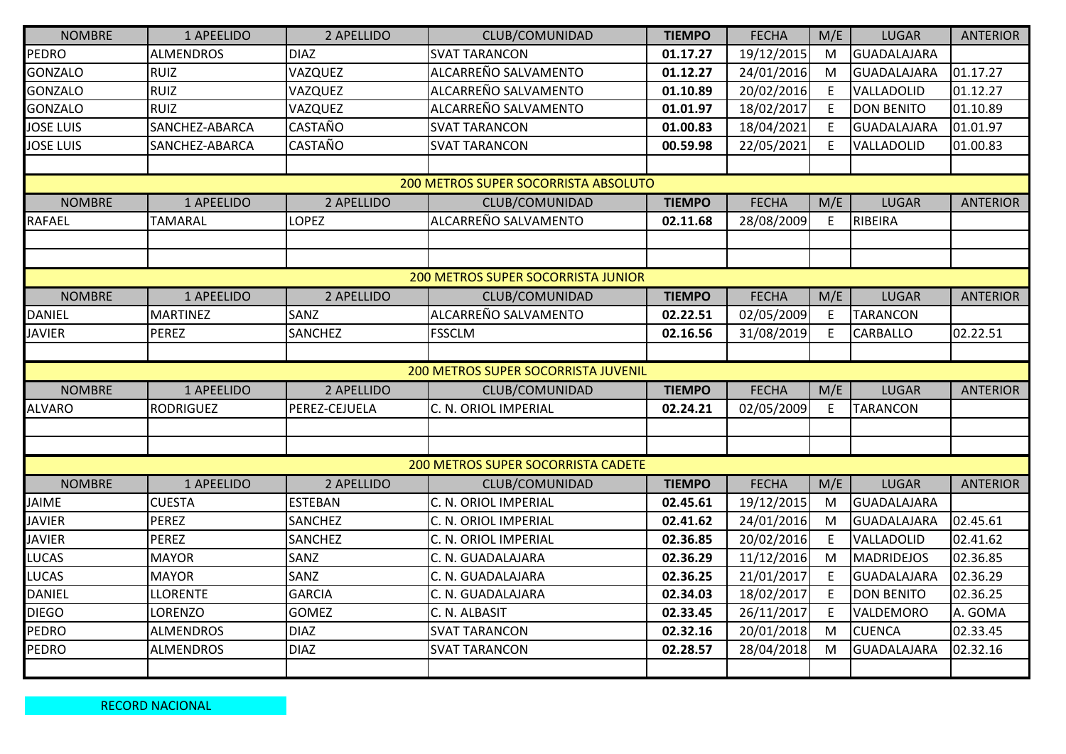| <b>NOMBRE</b>    | 1 APEELIDO       | 2 APELLIDO     | CLUB/COMUNIDAD                       | <b>TIEMPO</b> | <b>FECHA</b> | M/E         | <b>LUGAR</b>       | <b>ANTERIOR</b> |
|------------------|------------------|----------------|--------------------------------------|---------------|--------------|-------------|--------------------|-----------------|
| PEDRO            | <b>ALMENDROS</b> | <b>DIAZ</b>    | <b>SVAT TARANCON</b>                 | 01.17.27      | 19/12/2015   | M           | <b>GUADALAJARA</b> |                 |
| <b>GONZALO</b>   | <b>RUIZ</b>      | VAZQUEZ        | ALCARREÑO SALVAMENTO                 | 01.12.27      | 24/01/2016   | M           | <b>GUADALAJARA</b> | 01.17.27        |
| <b>GONZALO</b>   | <b>RUIZ</b>      | VAZQUEZ        | ALCARREÑO SALVAMENTO                 | 01.10.89      | 20/02/2016   | E           | VALLADOLID         | 01.12.27        |
| <b>GONZALO</b>   | <b>RUIZ</b>      | VAZQUEZ        | ALCARREÑO SALVAMENTO                 | 01.01.97      | 18/02/2017   | E           | <b>DON BENITO</b>  | 01.10.89        |
| <b>JOSE LUIS</b> | SANCHEZ-ABARCA   | <b>CASTAÑO</b> | <b>SVAT TARANCON</b>                 | 01.00.83      | 18/04/2021   | E           | <b>GUADALAJARA</b> | 01.01.97        |
| <b>JOSE LUIS</b> | SANCHEZ-ABARCA   | <b>CASTAÑO</b> | <b>SVAT TARANCON</b>                 | 00.59.98      | 22/05/2021   | E           | VALLADOLID         | 01.00.83        |
|                  |                  |                |                                      |               |              |             |                    |                 |
|                  |                  |                | 200 METROS SUPER SOCORRISTA ABSOLUTO |               |              |             |                    |                 |
| <b>NOMBRE</b>    | 1 APEELIDO       | 2 APELLIDO     | CLUB/COMUNIDAD                       | <b>TIEMPO</b> | <b>FECHA</b> | M/E         | <b>LUGAR</b>       | <b>ANTERIOR</b> |
| <b>RAFAEL</b>    | <b>TAMARAL</b>   | <b>LOPEZ</b>   | ALCARREÑO SALVAMENTO                 | 02.11.68      | 28/08/2009   | E           | RIBEIRA            |                 |
|                  |                  |                |                                      |               |              |             |                    |                 |
|                  |                  |                |                                      |               |              |             |                    |                 |
|                  |                  |                | 200 METROS SUPER SOCORRISTA JUNIOR   |               |              |             |                    |                 |
| <b>NOMBRE</b>    | 1 APEELIDO       | 2 APELLIDO     | CLUB/COMUNIDAD                       | <b>TIEMPO</b> | <b>FECHA</b> | M/E         | <b>LUGAR</b>       | <b>ANTERIOR</b> |
| <b>DANIEL</b>    | <b>MARTINEZ</b>  | SANZ           | ALCARREÑO SALVAMENTO                 | 02.22.51      | 02/05/2009   | E           | <b>TARANCON</b>    |                 |
| <b>JAVIER</b>    | <b>PEREZ</b>     | <b>SANCHEZ</b> | <b>FSSCLM</b>                        | 02.16.56      | 31/08/2019   | $\mathsf E$ | CARBALLO           | 02.22.51        |
|                  |                  |                |                                      |               |              |             |                    |                 |
|                  |                  |                | 200 METROS SUPER SOCORRISTA JUVENIL  |               |              |             |                    |                 |
| <b>NOMBRE</b>    | 1 APEELIDO       | 2 APELLIDO     | CLUB/COMUNIDAD                       | <b>TIEMPO</b> | <b>FECHA</b> | M/E         | <b>LUGAR</b>       | <b>ANTERIOR</b> |
| ALVARO           | <b>RODRIGUEZ</b> | PEREZ-CEJUELA  | C. N. ORIOL IMPERIAL                 | 02.24.21      | 02/05/2009   | E           | <b>TARANCON</b>    |                 |
|                  |                  |                |                                      |               |              |             |                    |                 |
|                  |                  |                |                                      |               |              |             |                    |                 |
|                  |                  |                | 200 METROS SUPER SOCORRISTA CADETE   |               |              |             |                    |                 |
| <b>NOMBRE</b>    | 1 APEELIDO       | 2 APELLIDO     | CLUB/COMUNIDAD                       | <b>TIEMPO</b> | <b>FECHA</b> | M/E         | <b>LUGAR</b>       | <b>ANTERIOR</b> |
| JAIME            | <b>CUESTA</b>    | <b>ESTEBAN</b> | C. N. ORIOL IMPERIAL                 | 02.45.61      | 19/12/2015   | M           | <b>GUADALAJARA</b> |                 |
| <b>JAVIER</b>    | PEREZ            | <b>SANCHEZ</b> | C. N. ORIOL IMPERIAL                 | 02.41.62      | 24/01/2016   | M           | <b>GUADALAJARA</b> | 02.45.61        |
| <b>JAVIER</b>    | <b>PEREZ</b>     | <b>SANCHEZ</b> | C. N. ORIOL IMPERIAL                 | 02.36.85      | 20/02/2016   | E           | VALLADOLID         | 02.41.62        |
| LUCAS            | <b>MAYOR</b>     | SANZ           | C. N. GUADALAJARA                    | 02.36.29      | 11/12/2016   | M           | MADRIDEJOS         | 02.36.85        |
| <b>LUCAS</b>     | <b>MAYOR</b>     | SANZ           | C. N. GUADALAJARA                    | 02.36.25      | 21/01/2017   | E           | <b>GUADALAJARA</b> | 02.36.29        |
| <b>DANIEL</b>    | <b>LLORENTE</b>  | <b>GARCIA</b>  | C. N. GUADALAJARA                    | 02.34.03      | 18/02/2017   | E           | <b>DON BENITO</b>  | 02.36.25        |
| <b>DIEGO</b>     | <b>LORENZO</b>   | <b>GOMEZ</b>   | C. N. ALBASIT                        | 02.33.45      | 26/11/2017   | E           | VALDEMORO          | A. GOMA         |
| <b>PEDRO</b>     | <b>ALMENDROS</b> | <b>DIAZ</b>    | <b>SVAT TARANCON</b>                 | 02.32.16      | 20/01/2018   | M           | <b>CUENCA</b>      | 02.33.45        |
| <b>PEDRO</b>     | <b>ALMENDROS</b> | <b>DIAZ</b>    | <b>SVAT TARANCON</b>                 | 02.28.57      | 28/04/2018   | M           | <b>GUADALAJARA</b> | 02.32.16        |
|                  |                  |                |                                      |               |              |             |                    |                 |